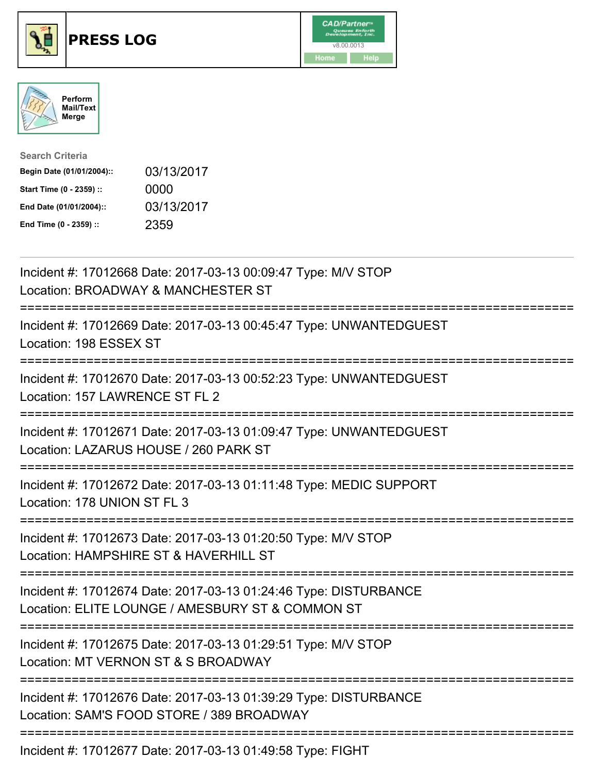





| <b>Search Criteria</b>    |            |
|---------------------------|------------|
| Begin Date (01/01/2004):: | 03/13/2017 |
| Start Time (0 - 2359) ::  | 0000       |
| End Date (01/01/2004)::   | 03/13/2017 |
| End Time (0 - 2359) ::    | 2359       |

| Incident #: 17012668 Date: 2017-03-13 00:09:47 Type: M/V STOP<br>Location: BROADWAY & MANCHESTER ST                                                     |
|---------------------------------------------------------------------------------------------------------------------------------------------------------|
| Incident #: 17012669 Date: 2017-03-13 00:45:47 Type: UNWANTEDGUEST<br>Location: 198 ESSEX ST                                                            |
| Incident #: 17012670 Date: 2017-03-13 00:52:23 Type: UNWANTEDGUEST<br>Location: 157 LAWRENCE ST FL 2                                                    |
| Incident #: 17012671 Date: 2017-03-13 01:09:47 Type: UNWANTEDGUEST<br>Location: LAZARUS HOUSE / 260 PARK ST                                             |
| Incident #: 17012672 Date: 2017-03-13 01:11:48 Type: MEDIC SUPPORT<br>Location: 178 UNION ST FL 3<br>===============                                    |
| Incident #: 17012673 Date: 2017-03-13 01:20:50 Type: M/V STOP<br>Location: HAMPSHIRE ST & HAVERHILL ST<br>.------------------------------               |
| Incident #: 17012674 Date: 2017-03-13 01:24:46 Type: DISTURBANCE<br>Location: ELITE LOUNGE / AMESBURY ST & COMMON ST<br>=============================== |
| Incident #: 17012675 Date: 2017-03-13 01:29:51 Type: M/V STOP<br>Location: MT VERNON ST & S BROADWAY<br>;==================================             |
| Incident #: 17012676 Date: 2017-03-13 01:39:29 Type: DISTURBANCE<br>Location: SAM'S FOOD STORE / 389 BROADWAY                                           |
| Incident #: 17012677 Date: 2017-03-13 01:49:58 Type: FIGHT                                                                                              |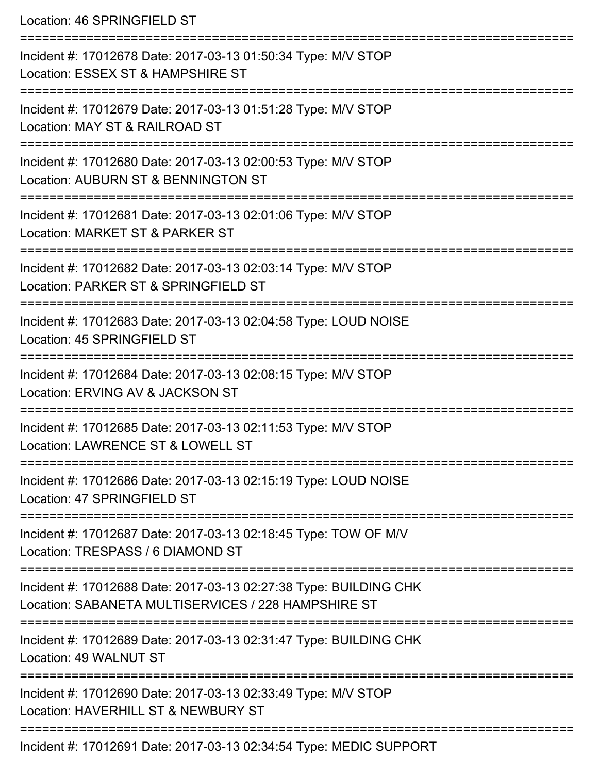Location: 46 SPRINGFIELD ST =========================================================================== Incident #: 17012678 Date: 2017-03-13 01:50:34 Type: M/V STOP Location: ESSEX ST & HAMPSHIRE ST =========================================================================== Incident #: 17012679 Date: 2017-03-13 01:51:28 Type: M/V STOP Location: MAY ST & RAILROAD ST =========================================================================== Incident #: 17012680 Date: 2017-03-13 02:00:53 Type: M/V STOP Location: AUBURN ST & BENNINGTON ST =========================================================================== Incident #: 17012681 Date: 2017-03-13 02:01:06 Type: M/V STOP Location: MARKET ST & PARKER ST =========================================================================== Incident #: 17012682 Date: 2017-03-13 02:03:14 Type: M/V STOP Location: PARKER ST & SPRINGFIELD ST =========================================================================== Incident #: 17012683 Date: 2017-03-13 02:04:58 Type: LOUD NOISE Location: 45 SPRINGFIELD ST =========================================================================== Incident #: 17012684 Date: 2017-03-13 02:08:15 Type: M/V STOP Location: ERVING AV & JACKSON ST =========================================================================== Incident #: 17012685 Date: 2017-03-13 02:11:53 Type: M/V STOP Location: LAWRENCE ST & LOWELL ST =========================================================================== Incident #: 17012686 Date: 2017-03-13 02:15:19 Type: LOUD NOISE Location: 47 SPRINGFIFLD ST =========================================================================== Incident #: 17012687 Date: 2017-03-13 02:18:45 Type: TOW OF M/V Location: TRESPASS / 6 DIAMOND ST =========================================================================== Incident #: 17012688 Date: 2017-03-13 02:27:38 Type: BUILDING CHK Location: SABANETA MULTISERVICES / 228 HAMPSHIRE ST =========================================================================== Incident #: 17012689 Date: 2017-03-13 02:31:47 Type: BUILDING CHK Location: 49 WALNUT ST =========================================================================== Incident #: 17012690 Date: 2017-03-13 02:33:49 Type: M/V STOP Location: HAVERHILL ST & NEWBURY ST ===========================================================================

Incident #: 17012691 Date: 2017-03-13 02:34:54 Type: MEDIC SUPPORT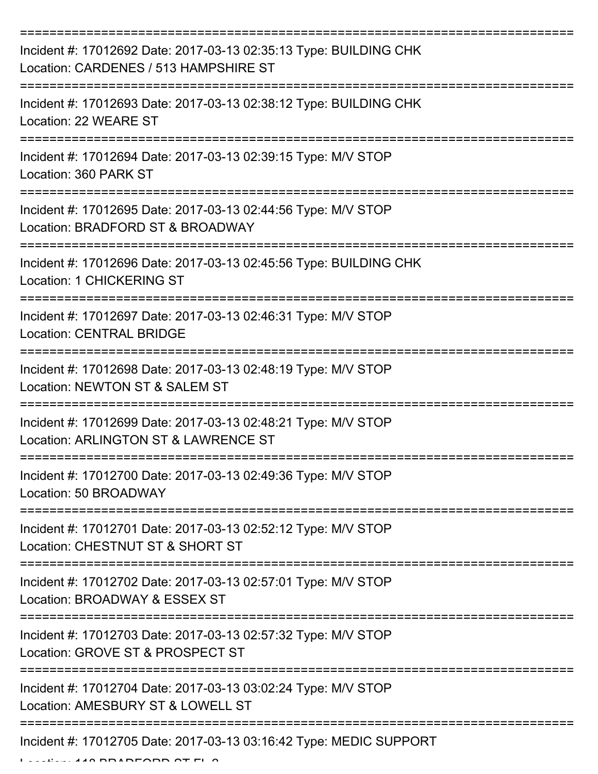| Incident #: 17012692 Date: 2017-03-13 02:35:13 Type: BUILDING CHK<br>Location: CARDENES / 513 HAMPSHIRE ST |
|------------------------------------------------------------------------------------------------------------|
| Incident #: 17012693 Date: 2017-03-13 02:38:12 Type: BUILDING CHK<br>Location: 22 WEARE ST                 |
| Incident #: 17012694 Date: 2017-03-13 02:39:15 Type: M/V STOP<br>Location: 360 PARK ST                     |
| Incident #: 17012695 Date: 2017-03-13 02:44:56 Type: M/V STOP<br>Location: BRADFORD ST & BROADWAY          |
| Incident #: 17012696 Date: 2017-03-13 02:45:56 Type: BUILDING CHK<br><b>Location: 1 CHICKERING ST</b>      |
| Incident #: 17012697 Date: 2017-03-13 02:46:31 Type: M/V STOP<br><b>Location: CENTRAL BRIDGE</b>           |
| Incident #: 17012698 Date: 2017-03-13 02:48:19 Type: M/V STOP<br>Location: NEWTON ST & SALEM ST            |
| Incident #: 17012699 Date: 2017-03-13 02:48:21 Type: M/V STOP<br>Location: ARLINGTON ST & LAWRENCE ST      |
| Incident #: 17012700 Date: 2017-03-13 02:49:36 Type: M/V STOP<br>Location: 50 BROADWAY                     |
| Incident #: 17012701 Date: 2017-03-13 02:52:12 Type: M/V STOP<br>Location: CHESTNUT ST & SHORT ST          |
| Incident #: 17012702 Date: 2017-03-13 02:57:01 Type: M/V STOP<br>Location: BROADWAY & ESSEX ST             |
| Incident #: 17012703 Date: 2017-03-13 02:57:32 Type: M/V STOP<br>Location: GROVE ST & PROSPECT ST          |
| Incident #: 17012704 Date: 2017-03-13 03:02:24 Type: M/V STOP<br>Location: AMESBURY ST & LOWELL ST         |
| Incident #: 17012705 Date: 2017-03-13 03:16:42 Type: MEDIC SUPPORT                                         |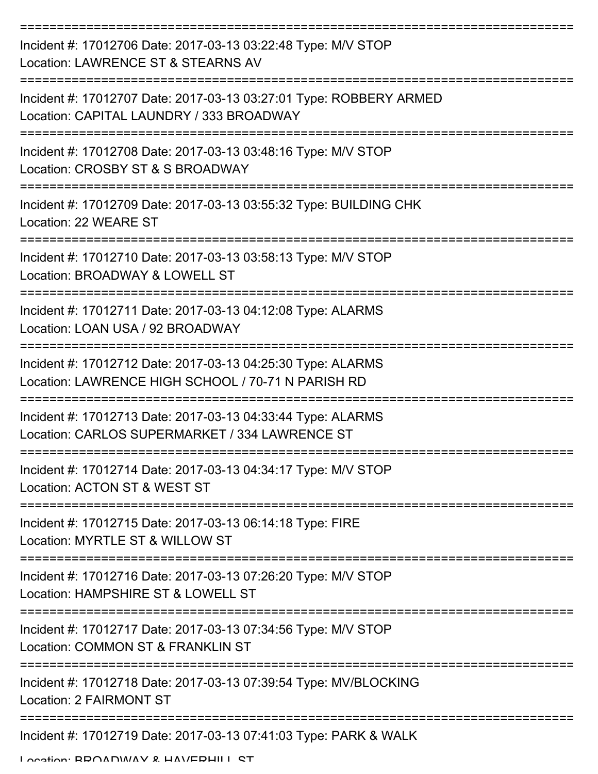| Incident #: 17012706 Date: 2017-03-13 03:22:48 Type: M/V STOP<br>Location: LAWRENCE ST & STEARNS AV               |
|-------------------------------------------------------------------------------------------------------------------|
| Incident #: 17012707 Date: 2017-03-13 03:27:01 Type: ROBBERY ARMED<br>Location: CAPITAL LAUNDRY / 333 BROADWAY    |
| Incident #: 17012708 Date: 2017-03-13 03:48:16 Type: M/V STOP<br>Location: CROSBY ST & S BROADWAY                 |
| Incident #: 17012709 Date: 2017-03-13 03:55:32 Type: BUILDING CHK<br>Location: 22 WEARE ST                        |
| Incident #: 17012710 Date: 2017-03-13 03:58:13 Type: M/V STOP<br>Location: BROADWAY & LOWELL ST                   |
| Incident #: 17012711 Date: 2017-03-13 04:12:08 Type: ALARMS<br>Location: LOAN USA / 92 BROADWAY                   |
| Incident #: 17012712 Date: 2017-03-13 04:25:30 Type: ALARMS<br>Location: LAWRENCE HIGH SCHOOL / 70-71 N PARISH RD |
| Incident #: 17012713 Date: 2017-03-13 04:33:44 Type: ALARMS<br>Location: CARLOS SUPERMARKET / 334 LAWRENCE ST     |
| Incident #: 17012714 Date: 2017-03-13 04:34:17 Type: M/V STOP<br>Location: ACTON ST & WEST ST                     |
| Incident #: 17012715 Date: 2017-03-13 06:14:18 Type: FIRE<br>Location: MYRTLE ST & WILLOW ST                      |
| Incident #: 17012716 Date: 2017-03-13 07:26:20 Type: M/V STOP<br>Location: HAMPSHIRE ST & LOWELL ST               |
| Incident #: 17012717 Date: 2017-03-13 07:34:56 Type: M/V STOP<br>Location: COMMON ST & FRANKLIN ST                |
| Incident #: 17012718 Date: 2017-03-13 07:39:54 Type: MV/BLOCKING<br>Location: 2 FAIRMONT ST                       |
| Incident #: 17012719 Date: 2017-03-13 07:41:03 Type: PARK & WALK                                                  |

Location: BDOADWAV & HAVEDHILL ST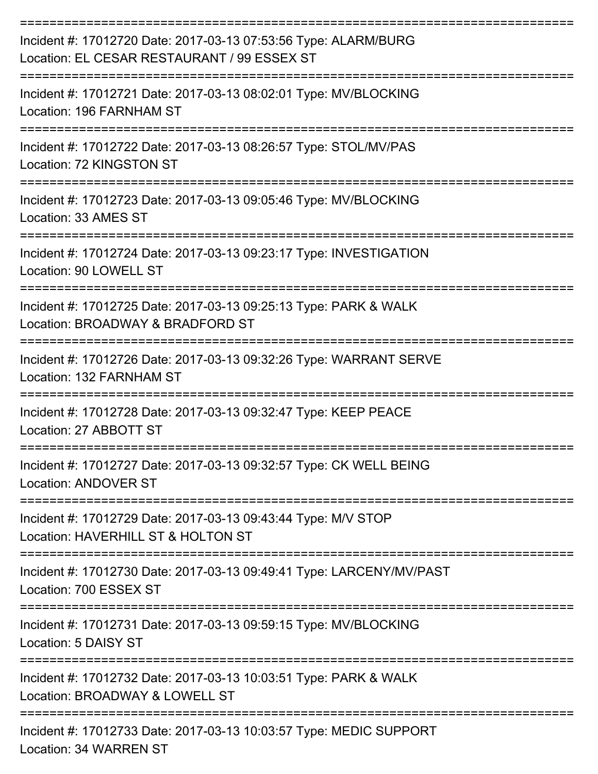| Incident #: 17012720 Date: 2017-03-13 07:53:56 Type: ALARM/BURG<br>Location: EL CESAR RESTAURANT / 99 ESSEX ST |
|----------------------------------------------------------------------------------------------------------------|
| Incident #: 17012721 Date: 2017-03-13 08:02:01 Type: MV/BLOCKING<br>Location: 196 FARNHAM ST                   |
| Incident #: 17012722 Date: 2017-03-13 08:26:57 Type: STOL/MV/PAS<br>Location: 72 KINGSTON ST                   |
| Incident #: 17012723 Date: 2017-03-13 09:05:46 Type: MV/BLOCKING<br>Location: 33 AMES ST                       |
| Incident #: 17012724 Date: 2017-03-13 09:23:17 Type: INVESTIGATION<br>Location: 90 LOWELL ST                   |
| Incident #: 17012725 Date: 2017-03-13 09:25:13 Type: PARK & WALK<br>Location: BROADWAY & BRADFORD ST           |
| Incident #: 17012726 Date: 2017-03-13 09:32:26 Type: WARRANT SERVE<br>Location: 132 FARNHAM ST                 |
| Incident #: 17012728 Date: 2017-03-13 09:32:47 Type: KEEP PEACE<br>Location: 27 ABBOTT ST                      |
| Incident #: 17012727 Date: 2017-03-13 09:32:57 Type: CK WELL BEING<br>Location: ANDOVER ST                     |
| Incident #: 17012729 Date: 2017-03-13 09:43:44 Type: M/V STOP<br>Location: HAVERHILL ST & HOLTON ST            |
| Incident #: 17012730 Date: 2017-03-13 09:49:41 Type: LARCENY/MV/PAST<br>Location: 700 ESSEX ST                 |
| Incident #: 17012731 Date: 2017-03-13 09:59:15 Type: MV/BLOCKING<br>Location: 5 DAISY ST                       |
| Incident #: 17012732 Date: 2017-03-13 10:03:51 Type: PARK & WALK<br>Location: BROADWAY & LOWELL ST             |
| Incident #: 17012733 Date: 2017-03-13 10:03:57 Type: MEDIC SUPPORT<br>Location: 34 WARREN ST                   |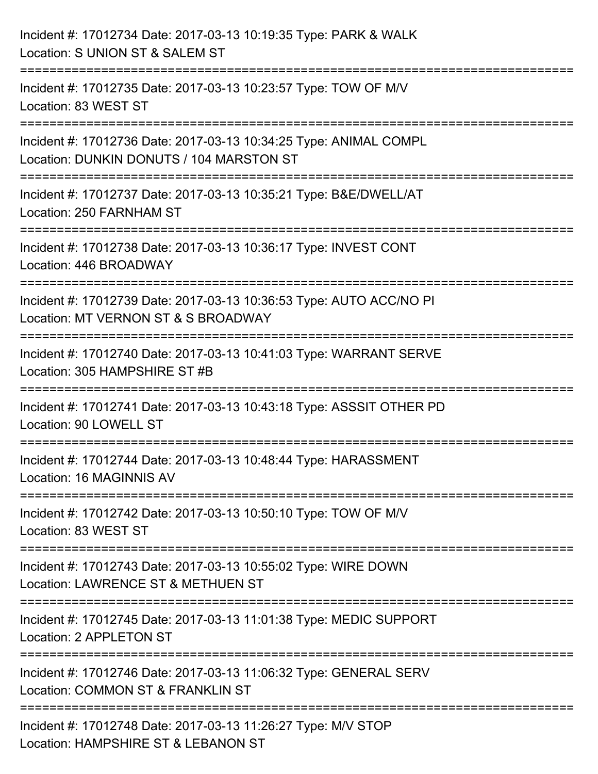| Incident #: 17012734 Date: 2017-03-13 10:19:35 Type: PARK & WALK<br>Location: S UNION ST & SALEM ST                                   |
|---------------------------------------------------------------------------------------------------------------------------------------|
| Incident #: 17012735 Date: 2017-03-13 10:23:57 Type: TOW OF M/V<br>Location: 83 WEST ST                                               |
| --------------------<br>Incident #: 17012736 Date: 2017-03-13 10:34:25 Type: ANIMAL COMPL<br>Location: DUNKIN DONUTS / 104 MARSTON ST |
| Incident #: 17012737 Date: 2017-03-13 10:35:21 Type: B&E/DWELL/AT<br>Location: 250 FARNHAM ST                                         |
| :====================================<br>Incident #: 17012738 Date: 2017-03-13 10:36:17 Type: INVEST CONT<br>Location: 446 BROADWAY   |
| Incident #: 17012739 Date: 2017-03-13 10:36:53 Type: AUTO ACC/NO PI<br>Location: MT VERNON ST & S BROADWAY                            |
| ----------------------<br>Incident #: 17012740 Date: 2017-03-13 10:41:03 Type: WARRANT SERVE<br>Location: 305 HAMPSHIRE ST #B         |
| Incident #: 17012741 Date: 2017-03-13 10:43:18 Type: ASSSIT OTHER PD<br>Location: 90 LOWELL ST                                        |
| Incident #: 17012744 Date: 2017-03-13 10:48:44 Type: HARASSMENT<br>Location: 16 MAGINNIS AV                                           |
| Incident #: 17012742 Date: 2017-03-13 10:50:10 Type: TOW OF M/V<br>Location: 83 WEST ST                                               |
| Incident #: 17012743 Date: 2017-03-13 10:55:02 Type: WIRE DOWN<br>Location: LAWRENCE ST & METHUEN ST                                  |
| Incident #: 17012745 Date: 2017-03-13 11:01:38 Type: MEDIC SUPPORT<br>Location: 2 APPLETON ST                                         |
| Incident #: 17012746 Date: 2017-03-13 11:06:32 Type: GENERAL SERV<br>Location: COMMON ST & FRANKLIN ST                                |
| Incident #: 17012748 Date: 2017-03-13 11:26:27 Type: M/V STOP<br>Location: HAMPSHIRE ST & LEBANON ST                                  |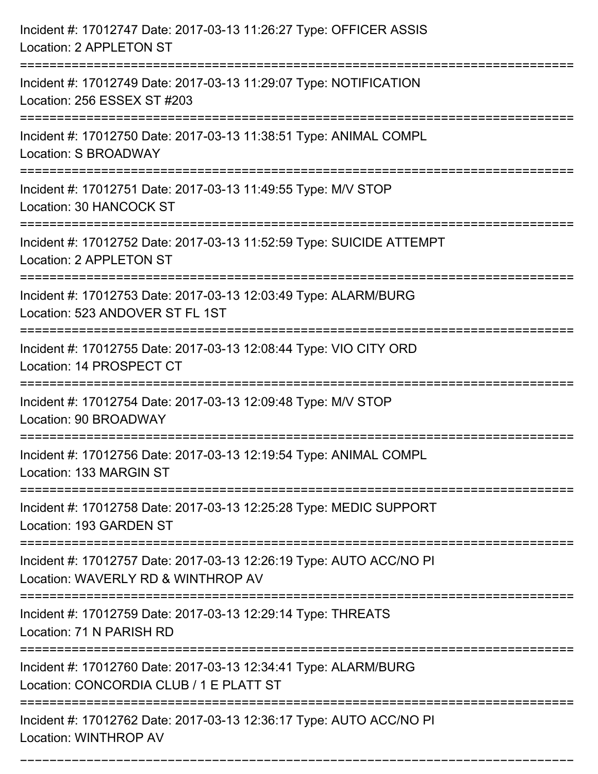| Incident #: 17012747 Date: 2017-03-13 11:26:27 Type: OFFICER ASSIS<br>Location: 2 APPLETON ST                                               |
|---------------------------------------------------------------------------------------------------------------------------------------------|
| Incident #: 17012749 Date: 2017-03-13 11:29:07 Type: NOTIFICATION<br>Location: 256 ESSEX ST #203                                            |
| Incident #: 17012750 Date: 2017-03-13 11:38:51 Type: ANIMAL COMPL<br>Location: S BROADWAY                                                   |
| Incident #: 17012751 Date: 2017-03-13 11:49:55 Type: M/V STOP<br>Location: 30 HANCOCK ST                                                    |
| Incident #: 17012752 Date: 2017-03-13 11:52:59 Type: SUICIDE ATTEMPT<br><b>Location: 2 APPLETON ST</b><br>================================= |
| Incident #: 17012753 Date: 2017-03-13 12:03:49 Type: ALARM/BURG<br>Location: 523 ANDOVER ST FL 1ST                                          |
| Incident #: 17012755 Date: 2017-03-13 12:08:44 Type: VIO CITY ORD<br>Location: 14 PROSPECT CT                                               |
| Incident #: 17012754 Date: 2017-03-13 12:09:48 Type: M/V STOP<br>Location: 90 BROADWAY                                                      |
| Incident #: 17012756 Date: 2017-03-13 12:19:54 Type: ANIMAL COMPL<br>Location: 133 MARGIN ST                                                |
| Incident #: 17012758 Date: 2017-03-13 12:25:28 Type: MEDIC SUPPORT<br>Location: 193 GARDEN ST                                               |
| Incident #: 17012757 Date: 2017-03-13 12:26:19 Type: AUTO ACC/NO PI<br>Location: WAVERLY RD & WINTHROP AV                                   |
| Incident #: 17012759 Date: 2017-03-13 12:29:14 Type: THREATS<br>Location: 71 N PARISH RD                                                    |
| Incident #: 17012760 Date: 2017-03-13 12:34:41 Type: ALARM/BURG<br>Location: CONCORDIA CLUB / 1 E PLATT ST                                  |
| Incident #: 17012762 Date: 2017-03-13 12:36:17 Type: AUTO ACC/NO PI<br>Location: WINTHROP AV                                                |

===========================================================================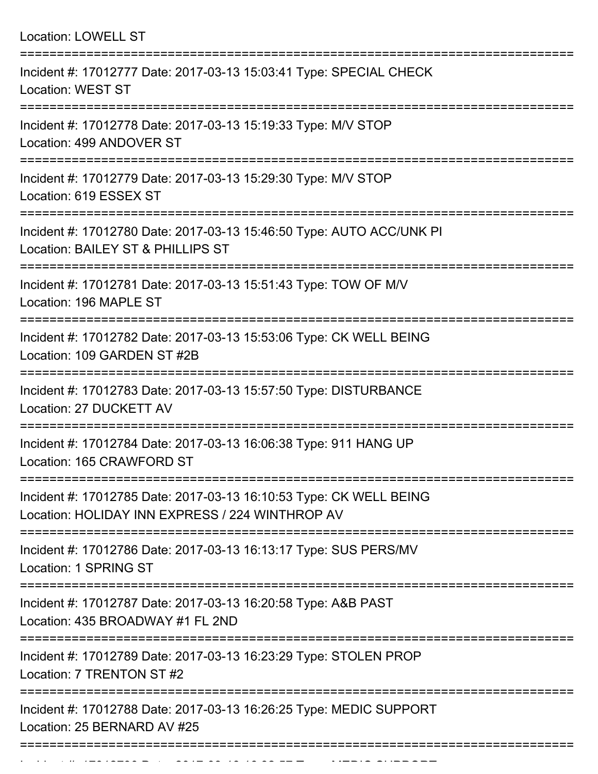| <b>Location: LOWELL ST</b>                                                                                                             |
|----------------------------------------------------------------------------------------------------------------------------------------|
| Incident #: 17012777 Date: 2017-03-13 15:03:41 Type: SPECIAL CHECK<br><b>Location: WEST ST</b><br>===============================      |
| Incident #: 17012778 Date: 2017-03-13 15:19:33 Type: M/V STOP<br>Location: 499 ANDOVER ST                                              |
| Incident #: 17012779 Date: 2017-03-13 15:29:30 Type: M/V STOP<br>Location: 619 ESSEX ST                                                |
| Incident #: 17012780 Date: 2017-03-13 15:46:50 Type: AUTO ACC/UNK PI<br>Location: BAILEY ST & PHILLIPS ST<br>:======================== |
| Incident #: 17012781 Date: 2017-03-13 15:51:43 Type: TOW OF M/V<br>Location: 196 MAPLE ST                                              |
| Incident #: 17012782 Date: 2017-03-13 15:53:06 Type: CK WELL BEING<br>Location: 109 GARDEN ST #2B<br>:=====================            |
| Incident #: 17012783 Date: 2017-03-13 15:57:50 Type: DISTURBANCE<br>Location: 27 DUCKETT AV                                            |
| Incident #: 17012784 Date: 2017-03-13 16:06:38 Type: 911 HANG UP<br>Location: 165 CRAWFORD ST                                          |
| Incident #: 17012785 Date: 2017-03-13 16:10:53 Type: CK WELL BEING<br>Location: HOLIDAY INN EXPRESS / 224 WINTHROP AV                  |
| Incident #: 17012786 Date: 2017-03-13 16:13:17 Type: SUS PERS/MV<br>Location: 1 SPRING ST                                              |
| Incident #: 17012787 Date: 2017-03-13 16:20:58 Type: A&B PAST<br>Location: 435 BROADWAY #1 FL 2ND                                      |
| Incident #: 17012789 Date: 2017-03-13 16:23:29 Type: STOLEN PROP<br>Location: 7 TRENTON ST #2                                          |
| Incident #: 17012788 Date: 2017-03-13 16:26:25 Type: MEDIC SUPPORT<br>Location: 25 BERNARD AV #25                                      |

Incident #: 17012790 Date: 2017 03 16:32:57 Type: Medicine Support #: 1702<br>.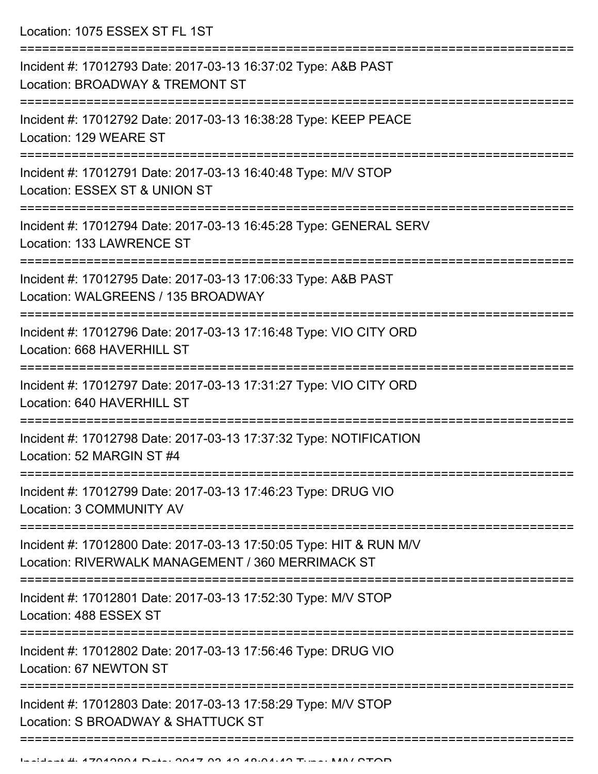Location: 1075 ESSEX ST FL 1ST

| Incident #: 17012793 Date: 2017-03-13 16:37:02 Type: A&B PAST<br>Location: BROADWAY & TREMONT ST                                                     |
|------------------------------------------------------------------------------------------------------------------------------------------------------|
| Incident #: 17012792 Date: 2017-03-13 16:38:28 Type: KEEP PEACE<br>Location: 129 WEARE ST                                                            |
| Incident #: 17012791 Date: 2017-03-13 16:40:48 Type: M/V STOP<br>Location: ESSEX ST & UNION ST                                                       |
| Incident #: 17012794 Date: 2017-03-13 16:45:28 Type: GENERAL SERV<br>Location: 133 LAWRENCE ST                                                       |
| Incident #: 17012795 Date: 2017-03-13 17:06:33 Type: A&B PAST<br>Location: WALGREENS / 135 BROADWAY                                                  |
| Incident #: 17012796 Date: 2017-03-13 17:16:48 Type: VIO CITY ORD<br>Location: 668 HAVERHILL ST                                                      |
| Incident #: 17012797 Date: 2017-03-13 17:31:27 Type: VIO CITY ORD<br>Location: 640 HAVERHILL ST                                                      |
| Incident #: 17012798 Date: 2017-03-13 17:37:32 Type: NOTIFICATION<br>Location: 52 MARGIN ST #4                                                       |
| Incident #: 17012799 Date: 2017-03-13 17:46:23 Type: DRUG VIO<br>Location: 3 COMMUNITY AV                                                            |
| Incident #: 17012800 Date: 2017-03-13 17:50:05 Type: HIT & RUN M/V<br>Location: RIVERWALK MANAGEMENT / 360 MERRIMACK ST                              |
| Incident #: 17012801 Date: 2017-03-13 17:52:30 Type: M/V STOP<br>Location: 488 ESSEX ST                                                              |
| ---------------------------<br>--------------------------<br>Incident #: 17012802 Date: 2017-03-13 17:56:46 Type: DRUG VIO<br>Location: 67 NEWTON ST |
| Incident #: 17012803 Date: 2017-03-13 17:58:29 Type: M/V STOP<br>Location: S BROADWAY & SHATTUCK ST                                                  |
|                                                                                                                                                      |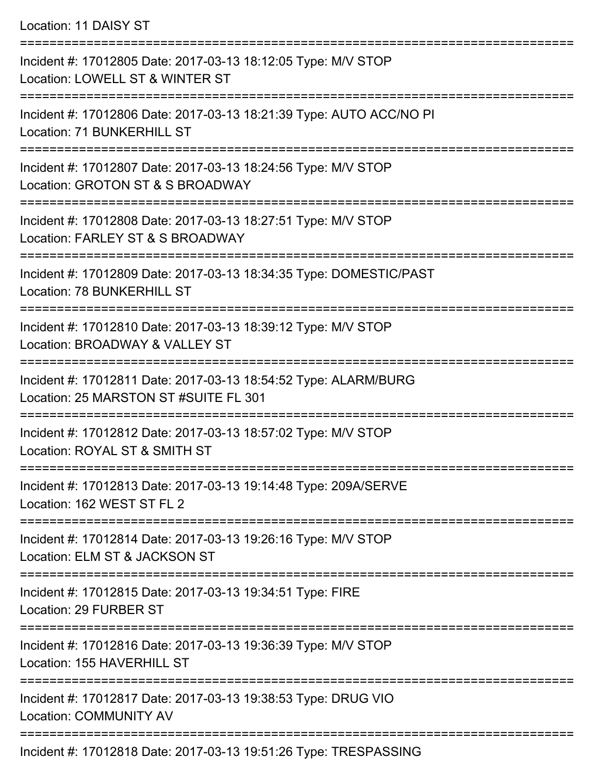Location: 11 DAISY ST

| Incident #: 17012805 Date: 2017-03-13 18:12:05 Type: M/V STOP<br>Location: LOWELL ST & WINTER ST                              |
|-------------------------------------------------------------------------------------------------------------------------------|
| Incident #: 17012806 Date: 2017-03-13 18:21:39 Type: AUTO ACC/NO PI<br>Location: 71 BUNKERHILL ST                             |
| Incident #: 17012807 Date: 2017-03-13 18:24:56 Type: M/V STOP<br>Location: GROTON ST & S BROADWAY<br>======================== |
| Incident #: 17012808 Date: 2017-03-13 18:27:51 Type: M/V STOP<br>Location: FARLEY ST & S BROADWAY                             |
| Incident #: 17012809 Date: 2017-03-13 18:34:35 Type: DOMESTIC/PAST<br>Location: 78 BUNKERHILL ST                              |
| Incident #: 17012810 Date: 2017-03-13 18:39:12 Type: M/V STOP<br>Location: BROADWAY & VALLEY ST                               |
| Incident #: 17012811 Date: 2017-03-13 18:54:52 Type: ALARM/BURG<br>Location: 25 MARSTON ST #SUITE FL 301                      |
| Incident #: 17012812 Date: 2017-03-13 18:57:02 Type: M/V STOP<br>Location: ROYAL ST & SMITH ST                                |
| Incident #: 17012813 Date: 2017-03-13 19:14:48 Type: 209A/SERVE<br>Location: 162 WEST ST FL 2                                 |
| Incident #: 17012814 Date: 2017-03-13 19:26:16 Type: M/V STOP<br>Location: ELM ST & JACKSON ST                                |
| Incident #: 17012815 Date: 2017-03-13 19:34:51 Type: FIRE<br>Location: 29 FURBER ST                                           |
| Incident #: 17012816 Date: 2017-03-13 19:36:39 Type: M/V STOP<br>Location: 155 HAVERHILL ST                                   |
| Incident #: 17012817 Date: 2017-03-13 19:38:53 Type: DRUG VIO<br><b>Location: COMMUNITY AV</b>                                |
| Incident #: 17012818 Date: 2017-03-13 19:51:26 Type: TRESPASSING                                                              |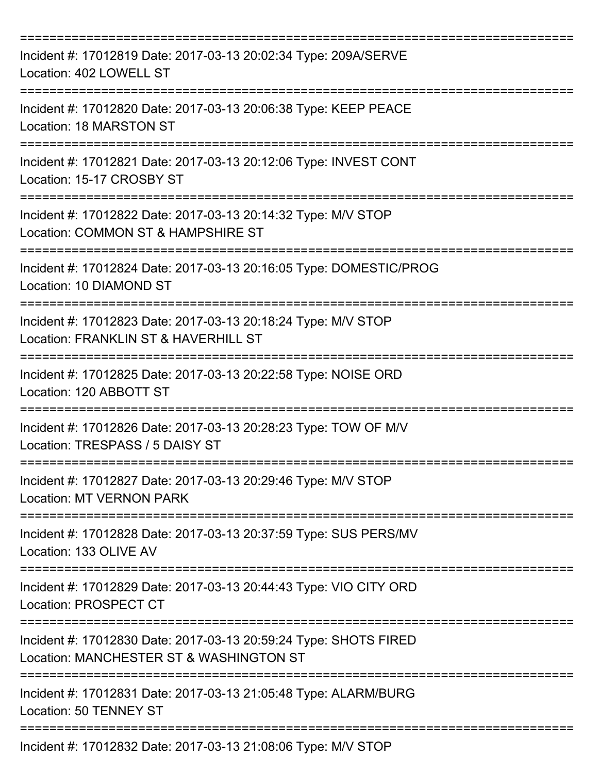| Incident #: 17012819 Date: 2017-03-13 20:02:34 Type: 209A/SERVE<br>Location: 402 LOWELL ST                             |
|------------------------------------------------------------------------------------------------------------------------|
| Incident #: 17012820 Date: 2017-03-13 20:06:38 Type: KEEP PEACE<br>Location: 18 MARSTON ST                             |
| Incident #: 17012821 Date: 2017-03-13 20:12:06 Type: INVEST CONT<br>Location: 15-17 CROSBY ST                          |
| Incident #: 17012822 Date: 2017-03-13 20:14:32 Type: M/V STOP<br>Location: COMMON ST & HAMPSHIRE ST                    |
| Incident #: 17012824 Date: 2017-03-13 20:16:05 Type: DOMESTIC/PROG<br>Location: 10 DIAMOND ST                          |
| Incident #: 17012823 Date: 2017-03-13 20:18:24 Type: M/V STOP<br>Location: FRANKLIN ST & HAVERHILL ST                  |
| Incident #: 17012825 Date: 2017-03-13 20:22:58 Type: NOISE ORD<br>Location: 120 ABBOTT ST                              |
| Incident #: 17012826 Date: 2017-03-13 20:28:23 Type: TOW OF M/V<br>Location: TRESPASS / 5 DAISY ST                     |
| ==============<br>Incident #: 17012827 Date: 2017-03-13 20:29:46 Type: M/V STOP<br><b>Location: MT VERNON PARK</b>     |
| Incident #: 17012828 Date: 2017-03-13 20:37:59 Type: SUS PERS/MV<br>Location: 133 OLIVE AV                             |
| Incident #: 17012829 Date: 2017-03-13 20:44:43 Type: VIO CITY ORD<br>Location: PROSPECT CT<br>======================== |
| Incident #: 17012830 Date: 2017-03-13 20:59:24 Type: SHOTS FIRED<br>Location: MANCHESTER ST & WASHINGTON ST            |
| Incident #: 17012831 Date: 2017-03-13 21:05:48 Type: ALARM/BURG<br>Location: 50 TENNEY ST                              |
| Incident #: 17012832 Date: 2017-03-13 21:08:06 Type: M/V STOP                                                          |